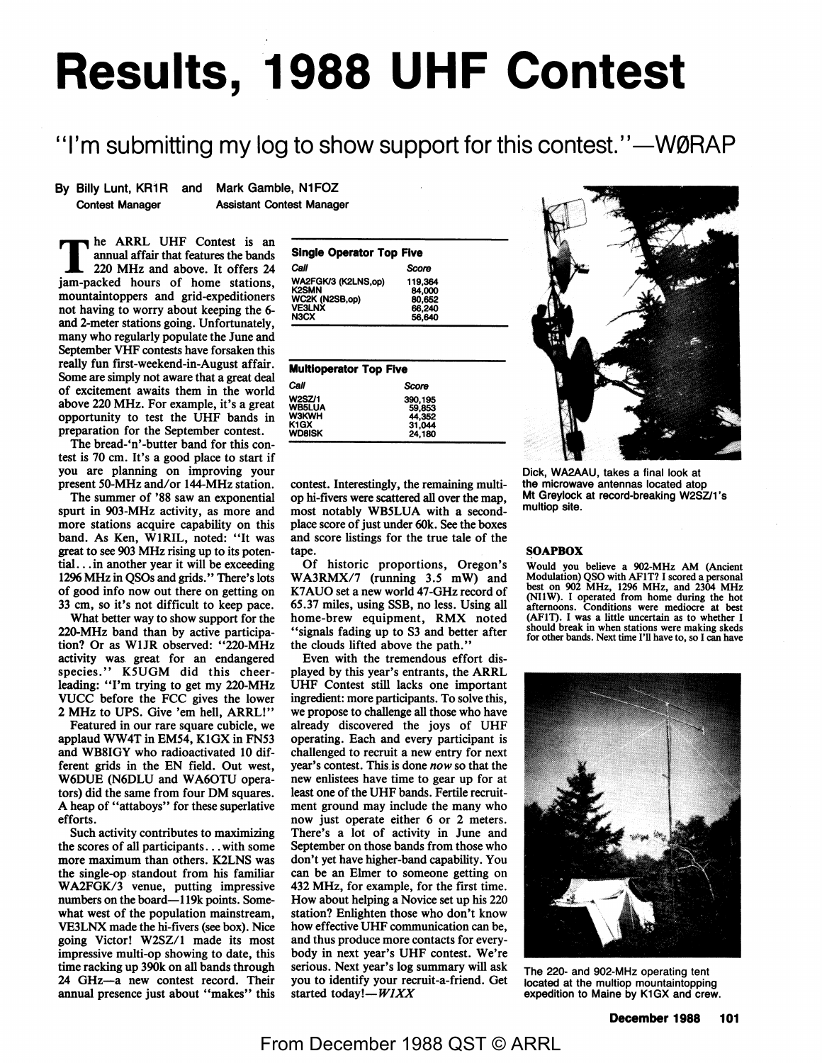# **Results, 1988 UHF Contest**

## "I'm submitting my log to show support for this contest."—WØRAP

By Billy Lunt, KR1R and Mark Gamble, N1FOZ

Contest Manager Assistant Contest Manager

 $\blacksquare$  he ARRL UHF Contest is an annual affair that features the bands 220 MHz and above. It offers 24 jam-packed hours of home stations, mountaintoppers and grid-expeditioners not having to worry about keeping the 6 and 2-meter stations going. Unfortunately, many who regularly populate the June and September VHF contests have forsaken this really fun first-weekend-in-August affair. Some are simply not aware that a great deal of excitement awaits them in the world above 220 MHz. For example, it's a great opportunity to test the UHF bands in preparation for the September contest.

The bread-'n'-butter band for this contest is 70 cm. It's a good place to start if you are planning on improving your present 50-MHz and/or 144-MHz station.

The summer of '88 saw an exponential spurt in 903-MHz activity, as more and more stations acquire capability on this band. As Ken, WlRIL, noted: "It was great to see 903 MHz rising up to its potential... in another year it will be exceeding 1296 MHz in QSOs and grids." There's lots of good info now out there on getting on 33 cm, so it's not difficult to keep pace.

What better way to show support for the 220-MHz band than by active participation? Or as **WlJR** observed: "220-MHz activity was. great for an endangered species." K5UGM did this cheerleading: "I'm trying to get my 220-MHz VUCC before the FCC gives the lower 2 MHz to UPS. Give 'em hell, **ARRL!"** 

Featured in our rare square cubicle, we applaud WW4T in EM54, KlGX in FN53 and WB8IGY who radioactivated 10 different grids in the EN field. Out west, W6DUE (N6DLU and WA6OTU operators) did the same from four OM squares. A heap of "attaboys" for these superlative efforts.

Such activity contributes to maximizing the scores of all participants ... with some more maximum than others. K2LNS was the single-op. standout from his familiar WA2FGK/3 venue, putting impressive numbers on the board-119k points. Somewhat west of the population mainstream, VE3LNX made the hi-fivers (see box). Nice going Victor! W2SZ/1 made its most impressive multi-op showing to date, this time racking up 390k on all bands through 24 GHz-a new contest record. Their annual presence just about "makes" this

| <b>Single Operator Top Five</b>     |                   |  |  |  |  |  |  |
|-------------------------------------|-------------------|--|--|--|--|--|--|
| Call                                | Score             |  |  |  |  |  |  |
| WA2FGK/3 (K2LNS.op)<br><b>K2SMN</b> | 119,364<br>84.000 |  |  |  |  |  |  |
| WC2K (N2SB,op)<br>VE3LNX            | 80,652<br>66,240  |  |  |  |  |  |  |
| N <sub>3</sub> CX                   | 56.640            |  |  |  |  |  |  |

| <b>Multioperator Top Five</b>                                                        |                                                 |  |  |  |  |
|--------------------------------------------------------------------------------------|-------------------------------------------------|--|--|--|--|
| Call                                                                                 | Score                                           |  |  |  |  |
| <b>W2SZ/1</b><br><b>WB5LUA</b><br><b>W3KWH</b><br>K <sub>1</sub> GX<br><b>WD8ISK</b> | 390,195<br>59,853<br>44.352<br>31.044<br>24,180 |  |  |  |  |

contest. Interestingly, the remaining multiop hi-fivers were scattered all over the map, most notably WB5LUA with a secondplace score of just under 60k. See the boxes and score listings for the true tale of the

Of historic proportions, Oregon's WA3RMX/7 (running 3.5 mW) and K7AUO set a new world 47-GHz record of 65.37 miles, using SSB, no less. Using all home-brew equipment, RMX noted "signals fading up to S3 and better after the clouds lifted above the path."

tape.



Dick, WA2AAU, takes a final look at the microwave antennas located atop Mt Greylock at record-breaking W2SZ/1 's multiop site.

#### **SOAPBOX**

Would you believe a 902-MHz AM (Ancient Modulation) QSO with AF1T? I scored a personal best on 902 MHz, 1296 MHz, and 2304 MHz (NllW). I operated from home during the hot afternoons. Conditions were mediocre at best (AFlT). I was a little uncertain as to whether I should break in when stations were making skeds for other bands. Next time I'll have to, so I can have



The 220- and 902-MHz operating tent located at the multiop mountaintopping expedition to Maine by K1GX and crew.

you to identify your recruit-a-friend. Get

**started** *today!-WJXX*